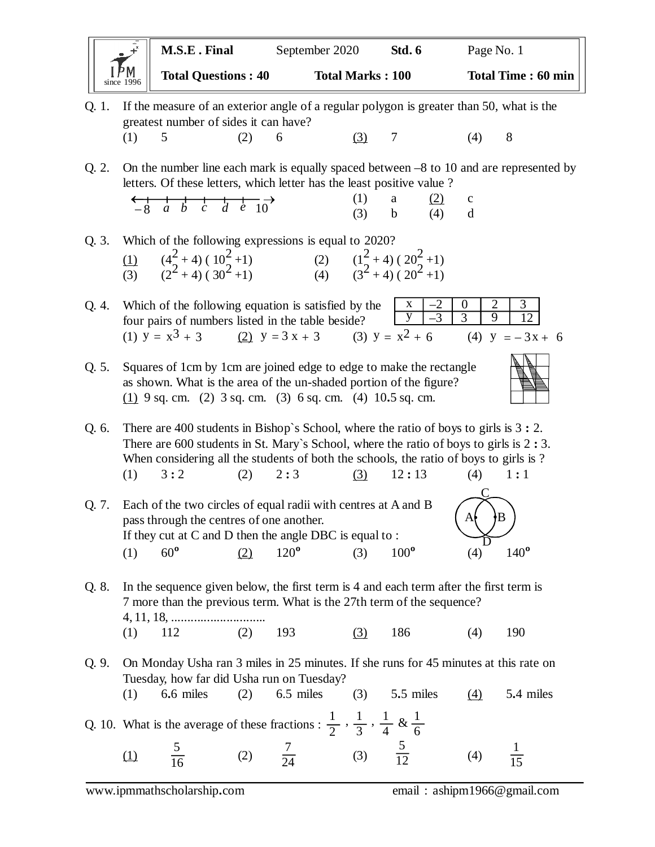| $\overline{y}$<br>$\bullet$                                                                                                                | M.S.E. Final               | September 2020<br>Std. 6 |  | Page No. 1                |  |  |  |
|--------------------------------------------------------------------------------------------------------------------------------------------|----------------------------|--------------------------|--|---------------------------|--|--|--|
| $1 - M$<br>since $1996$                                                                                                                    | <b>Total Questions: 40</b> | <b>Total Marks: 100</b>  |  | <b>Total Time: 60 min</b> |  |  |  |
| If the measure of an exterior angle of a regular polygon is greater than 50, what is the<br>O. 1.<br>greatest number of sides it can have? |                            |                          |  |                           |  |  |  |

(1) 5 (2) 6 (3) 7 (4) 8

Q. 2. On the number line each mark is equally spaced between –8 to 10 and are represented by letters. Of these letters, which letter has the least positive value ?

| $\leftarrow + + + +$<br>$-8$ a b c d e 10 |  | (1) a $(2)$ c   |  |
|-------------------------------------------|--|-----------------|--|
|                                           |  | $(3)$ b $(4)$ d |  |

|     | Q. 3. Which of the following expressions is equal to 2020?    |     |                                             |
|-----|---------------------------------------------------------------|-----|---------------------------------------------|
| (1) | $(42+4) (102+1)$<br>(2 <sup>2</sup> + 4) (30 <sup>2</sup> +1) | (2) | $\frac{(1^2+4) (20^2+1)}{(3^2+4) (20^2+1)}$ |
| (3) |                                                               |     |                                             |

Q. 4. Which of the following equation is satisfied by the four pairs of numbers listed in the table beside?<br>(1)  $y = x^3 + 3$  (2)  $y = 3x + 3$  (3)  $y = x^2 + 6$ (1)  $y = x^3 + 3$  (2)  $y = 3x + 3$  (3)  $y = x^2 + 6$  (4)  $y = -3x + 6$ x  $\overline{y}$  $-2$  0 3 2 9 3 12

Q. 5. Squares of 1cm by 1cm are joined edge to edge to make the rectangle as shown. What is the area of the un-shaded portion of the figure? (1) 9 sq. cm. (2) 3 sq. cm. (3) 6 sq. cm. (4) 10**.**5 sq. cm.

Q. 6. There are 400 students in Bishop`s School, where the ratio of boys to girls is 3 **:** 2. There are 600 students in St. Mary`s School, where the ratio of boys to girls is 2 **:** 3. When considering all the students of both the schools, the ratio of boys to girls is ? (1) 3 **:** 2 (2) 2 **:** 3 (3) 12 **:** 13 (4) 1 **:** 1

Q. 7. Each of the two circles of equal radii with centres at A and B pass through the centres of one another. If they cut at C and D then the angle DBC is equal to : (1)  $60^{\circ}$  (2)  $120^{\circ}$  (3)  $100^{\circ}$  (4)  $140^{\circ}$  $A\rightarrow B$  $\overline{\mathsf{C}}$  $\overline{D}$ 

Q. 8. In the sequence given below, the first term is 4 and each term after the first term is 7 more than the previous term. What is the 27th term of the sequence? 4, 11, 18, ............................. (1) 112 (2) 193 <u>(3)</u> 186 (4) 190

Q. 9. On Monday Usha ran 3 miles in 25 minutes. If she runs for 45 minutes at this rate on Tuesday, how far did Usha run on Tuesday?

(1) 6**.**6 miles (2) 6.5 miles (3) 5**.**5 miles (4) 5**.**4 miles

Q. 10. What is the average of these fractions :  $\frac{1}{2}$ (1)  $\frac{5}{16}$  (2)  $\frac{7}{24}$  (3)  $\frac{5}{12}$  (4) 2 1 3 1 4 1  $,\frac{1}{3},\frac{1}{4}$  &  $\frac{1}{6}$  5 16 24 5 12 1 15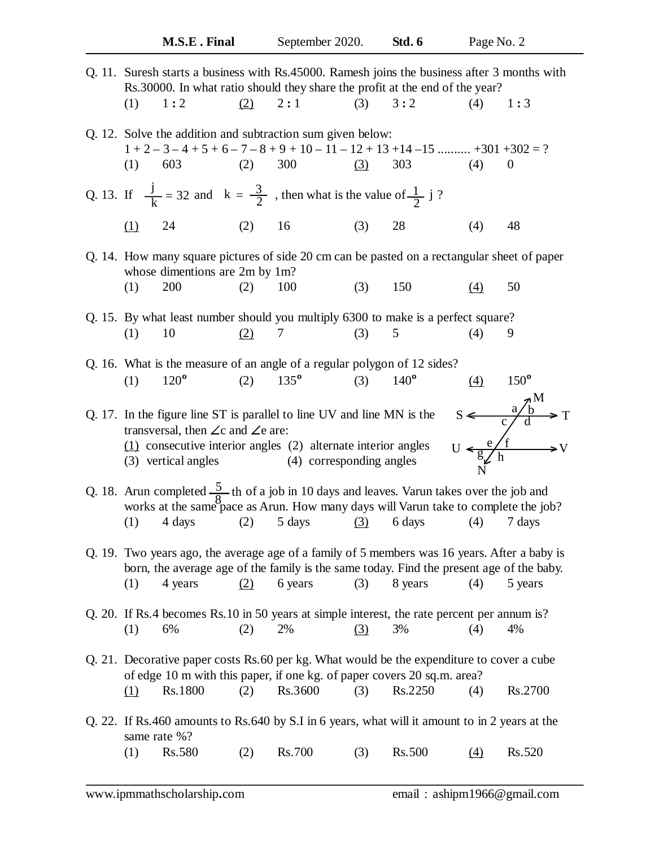| Q. 11. Suresh starts a business with Rs.45000. Ramesh joins the business after 3 months with<br>Rs.30000. In what ratio should they share the profit at the end of the year?                                                                       |                                                                                             |  |  |  |  |  |  |
|----------------------------------------------------------------------------------------------------------------------------------------------------------------------------------------------------------------------------------------------------|---------------------------------------------------------------------------------------------|--|--|--|--|--|--|
| 1:2<br>(2)<br>2:1<br>(3)<br>3:2<br>(1)                                                                                                                                                                                                             | (4)<br>1:3                                                                                  |  |  |  |  |  |  |
| Q. 12. Solve the addition and subtraction sum given below:<br>$1+2-3-4+5+6-7-8+9+10-11-12+13+14-15$ +301 +302 = ?<br>(2)<br>300<br>(1)<br>603<br>(3)<br>303                                                                                        | (4)<br>$\boldsymbol{0}$                                                                     |  |  |  |  |  |  |
| Q. 13. If $\frac{j}{k} = 32$ and $k = \frac{3}{2}$ , then what is the value of $\frac{1}{2}$ j?                                                                                                                                                    |                                                                                             |  |  |  |  |  |  |
| (2)<br>(3)<br>28<br>24<br>16<br><u>(1)</u>                                                                                                                                                                                                         | (4)<br>48                                                                                   |  |  |  |  |  |  |
| whose dimentions are 2m by 1m?                                                                                                                                                                                                                     | Q. 14. How many square pictures of side 20 cm can be pasted on a rectangular sheet of paper |  |  |  |  |  |  |
| 200<br>(3)<br>150<br>(2)<br>(1)<br>100                                                                                                                                                                                                             | (4)<br>50                                                                                   |  |  |  |  |  |  |
| Q. 15. By what least number should you multiply 6300 to make is a perfect square?                                                                                                                                                                  |                                                                                             |  |  |  |  |  |  |
| (2)<br>5<br>10<br>(3)<br>(1)<br>7                                                                                                                                                                                                                  | (4)<br>9                                                                                    |  |  |  |  |  |  |
| Q. 16. What is the measure of an angle of a regular polygon of 12 sides?<br>$120^{\circ}$<br>$135^{\circ}$<br>(2)<br>(3)<br>$140^\circ$<br>(1)                                                                                                     | $150^{\circ}$<br>(4)                                                                        |  |  |  |  |  |  |
| Q. 17. In the figure line ST is parallel to line UV and line MN is the<br>transversal, then $\angle c$ and $\angle e$ are:<br>$(1)$ consecutive interior angles $(2)$ alternate interior angles<br>(4) corresponding angles<br>(3) vertical angles | $S \leftarrow \frac{a/b}{c/d} \rightarrow T$<br>U $\leftarrow \frac{e/f}{\frac{g}{c}}$ h    |  |  |  |  |  |  |
| Q. 18. Arun completed $\frac{5}{8}$ th of a job in 10 days and leaves. Varun takes over the job and works at the same pace as Arun. How many days will Varun take to complete the job?<br>(1)<br>(2)<br>5 days<br>(3)<br>6 days<br>4 days          | (4)<br>7 days                                                                               |  |  |  |  |  |  |
| Q. 19. Two years ago, the average age of a family of 5 members was 16 years. After a baby is<br>born, the average age of the family is the same today. Find the present age of the baby.<br>4 years<br>6 years<br>(3)<br>8 years<br>(1)<br>(2)     | (4)<br>5 years                                                                              |  |  |  |  |  |  |
| Q. 20. If Rs.4 becomes Rs. 10 in 50 years at simple interest, the rate percent per annum is?<br>(1)<br>6%<br>2%<br>3%<br>(2)<br>(3)                                                                                                                | (4)<br>4%                                                                                   |  |  |  |  |  |  |
| Q. 21. Decorative paper costs Rs.60 per kg. What would be the expenditure to cover a cube<br>of edge 10 m with this paper, if one kg. of paper covers 20 sq.m. area?                                                                               |                                                                                             |  |  |  |  |  |  |
| Rs.3600<br>Rs.2250<br>Rs.1800<br>(3)<br>(2)<br><u>(1)</u>                                                                                                                                                                                          | Rs.2700<br>(4)                                                                              |  |  |  |  |  |  |
| Q. 22. If Rs.460 amounts to Rs.640 by S.I in 6 years, what will it amount to in 2 years at the<br>same rate %?                                                                                                                                     |                                                                                             |  |  |  |  |  |  |
| Rs.580<br>Rs.700<br>(1)<br>Rs.500<br>(2)<br>(3)                                                                                                                                                                                                    | Rs.520<br>(4)                                                                               |  |  |  |  |  |  |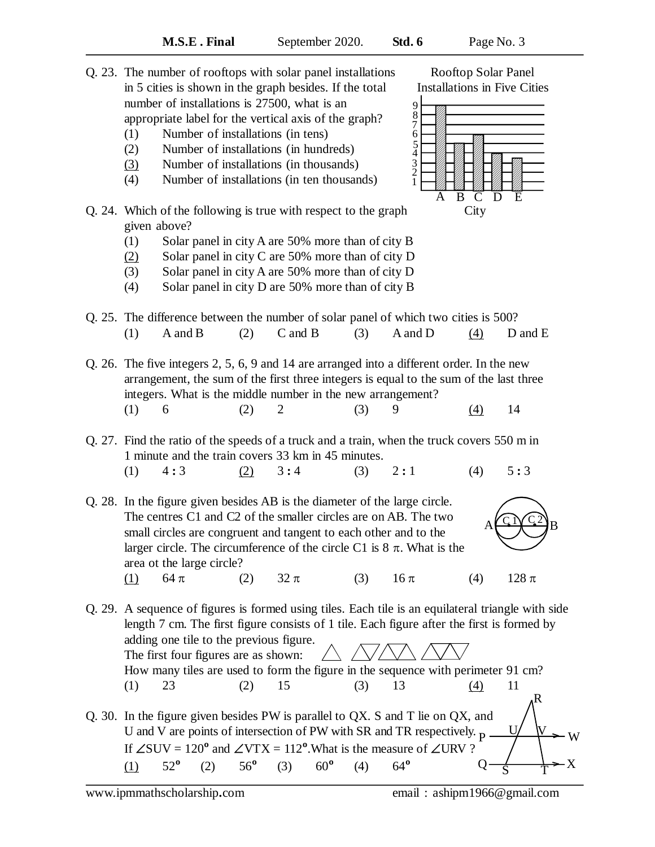|                                                                 | 1 minute and the train covers 33 km in 45 minutes. |  |  |  |                                                                     |     |             |
|-----------------------------------------------------------------|----------------------------------------------------|--|--|--|---------------------------------------------------------------------|-----|-------------|
|                                                                 | $(1) \quad 4:3$                                    |  |  |  | (2) $3:4$ (3) $2:1$                                                 | (4) | 5:3         |
|                                                                 |                                                    |  |  |  | In the figure given besides AB is the diameter of the large circle. |     |             |
| The centres C1 and C2 of the smaller circles are on AB. The two |                                                    |  |  |  |                                                                     |     | $\sqrt{CN}$ |
|                                                                 |                                                    |  |  |  | amall given ago ago compart and top cont to again at boy and to the |     |             |

Q. 25. The difference between the number of solar panel of which two cities is 500?

Q. 26. The five integers 2, 5, 6, 9 and 14 are arranged into a different order. In the new

(1) A and B (2) C and B (3) A and D  $(4)$  D and E

arrangement, the sum of the first three integers is equal to the sum of the last three

(1) 6 (2) 2 (3) 9 <u>(4)</u> 14

Q. 27. Find the ratio of the speeds of a truck and a train, when the truck covers 550 m in

integers. What is the middle number in the new arrangement?

 $Q. 28.$  In the The centres C1 and C2 of the smaller circles are on AB. The two small circles are congruent and tangent to each other and to the larger circle. The circumference of the circle C1 is  $8 \pi$ . What is the area ot the large circle? (1)  $64 \pi$  (2)  $32 \pi$  (3)  $16 \pi$  (4)  $128 \pi$  $A \rightarrow \rightarrow B$ 

(1) 52**º** (2) 56**º** (3) 60**º** (4) 64**º**

Q. 29. A sequence of figures is formed using tiles. Each tile is an equilateral triangle with side length 7 cm. The first figure consists of 1 tile. Each figure after the first is formed by adding one tile to the previous figure. The first four figures are as shown: How many tiles are used to form the figure in the sequence with perimeter 91 cm? (1) 23 (2) 15 (3) 13 (4) 11 Q. 30. In the figure given besides PW is parallel to QX. S and T lie on QX, and U and V are points of intersection of PW with SR and TR respectively.  $<sub>D</sub>$ .</sub> If  $\angle$ SUV = 120<sup>°</sup> and  $\angle$ VTX = 112<sup>°</sup>. What is the measure of  $\angle$ URV ?  $P \longrightarrow W$ R U V

 $C$   $N C$  2

 $Q \rightarrow \rightarrow X$ 

S T



number of installations is 27500, what is an

(1) Number of installations (in tens) (2) Number of installations (in hundreds) (3) Number of installations (in thousands) (4) Number of installations (in ten thousands)

given above?

appropriate label for the vertical axis of the graph?

Q. 24. Which of the following is true with respect to the graph

(1) Solar panel in city A are 50% more than of city B  $(2)$  Solar panel in city C are 50% more than of city D (3) Solar panel in city A are 50% more than of city D (4) Solar panel in city D are 50% more than of city B

Q. 23. The number of rooftops with solar panel installations Rooftop Solar Panel